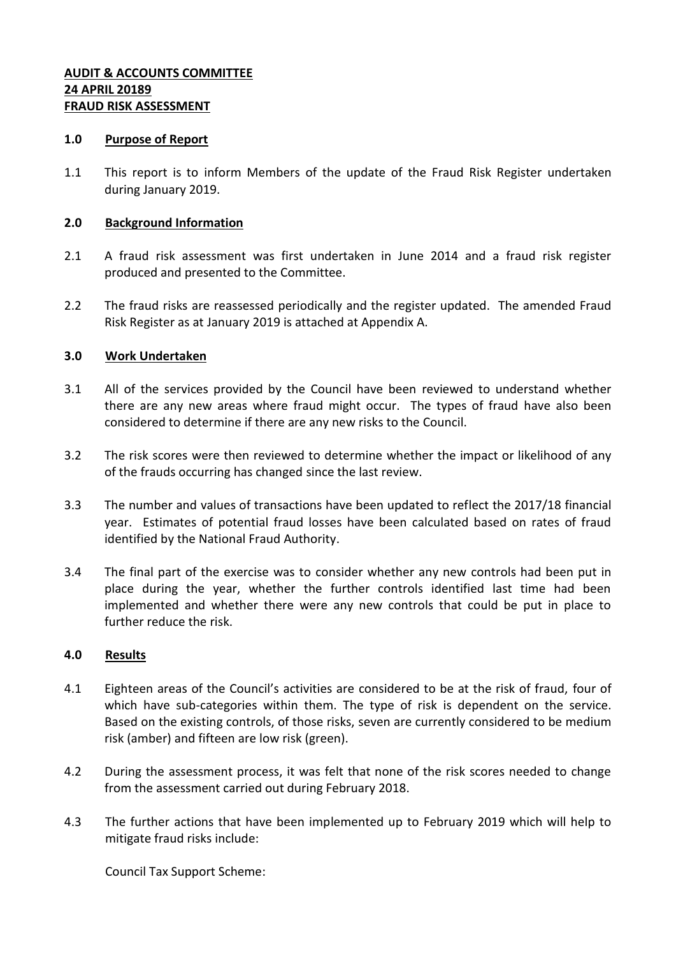#### **AUDIT & ACCOUNTS COMMITTEE 24 APRIL 20189 FRAUD RISK ASSESSMENT**

#### **1.0 Purpose of Report**

1.1 This report is to inform Members of the update of the Fraud Risk Register undertaken during January 2019.

#### **2.0 Background Information**

- 2.1 A fraud risk assessment was first undertaken in June 2014 and a fraud risk register produced and presented to the Committee.
- 2.2 The fraud risks are reassessed periodically and the register updated. The amended Fraud Risk Register as at January 2019 is attached at Appendix A.

#### **3.0 Work Undertaken**

- 3.1 All of the services provided by the Council have been reviewed to understand whether there are any new areas where fraud might occur. The types of fraud have also been considered to determine if there are any new risks to the Council.
- 3.2 The risk scores were then reviewed to determine whether the impact or likelihood of any of the frauds occurring has changed since the last review.
- 3.3 The number and values of transactions have been updated to reflect the 2017/18 financial year. Estimates of potential fraud losses have been calculated based on rates of fraud identified by the National Fraud Authority.
- 3.4 The final part of the exercise was to consider whether any new controls had been put in place during the year, whether the further controls identified last time had been implemented and whether there were any new controls that could be put in place to further reduce the risk.

#### **4.0 Results**

- 4.1 Eighteen areas of the Council's activities are considered to be at the risk of fraud, four of which have sub-categories within them. The type of risk is dependent on the service. Based on the existing controls, of those risks, seven are currently considered to be medium risk (amber) and fifteen are low risk (green).
- 4.2 During the assessment process, it was felt that none of the risk scores needed to change from the assessment carried out during February 2018.
- 4.3 The further actions that have been implemented up to February 2019 which will help to mitigate fraud risks include:

Council Tax Support Scheme: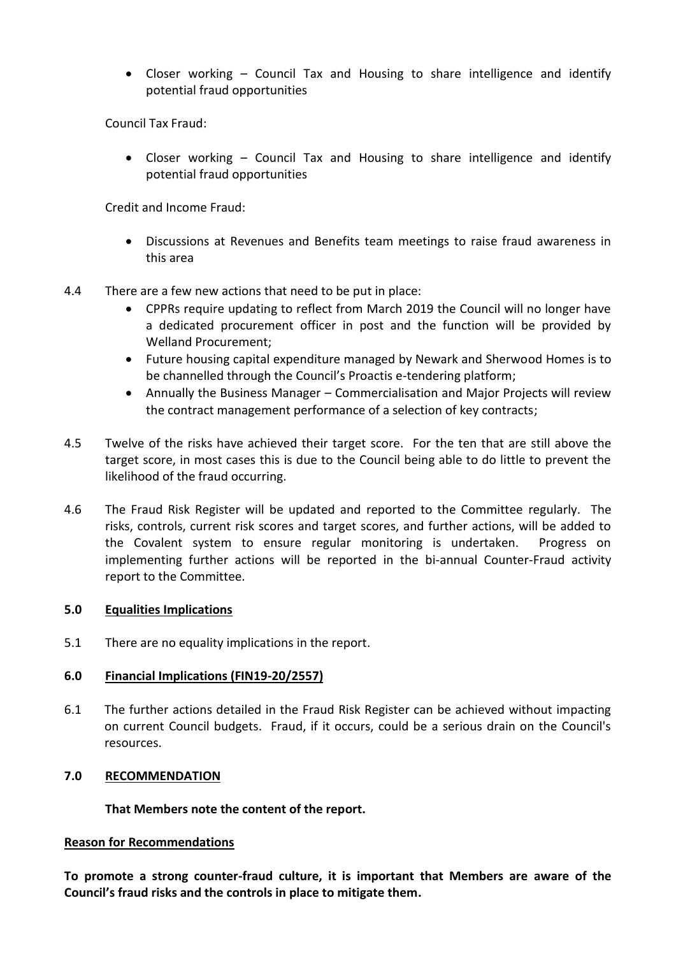Closer working – Council Tax and Housing to share intelligence and identify potential fraud opportunities

Council Tax Fraud:

 Closer working – Council Tax and Housing to share intelligence and identify potential fraud opportunities

Credit and Income Fraud:

- Discussions at Revenues and Benefits team meetings to raise fraud awareness in this area
- 4.4 There are a few new actions that need to be put in place:
	- CPPRs require updating to reflect from March 2019 the Council will no longer have a dedicated procurement officer in post and the function will be provided by Welland Procurement;
	- Future housing capital expenditure managed by Newark and Sherwood Homes is to be channelled through the Council's Proactis e-tendering platform;
	- Annually the Business Manager Commercialisation and Major Projects will review the contract management performance of a selection of key contracts;
- 4.5 Twelve of the risks have achieved their target score. For the ten that are still above the target score, in most cases this is due to the Council being able to do little to prevent the likelihood of the fraud occurring.
- 4.6 The Fraud Risk Register will be updated and reported to the Committee regularly. The risks, controls, current risk scores and target scores, and further actions, will be added to the Covalent system to ensure regular monitoring is undertaken. Progress on implementing further actions will be reported in the bi-annual Counter-Fraud activity report to the Committee.

# **5.0 Equalities Implications**

5.1 There are no equality implications in the report.

# **6.0 Financial Implications (FIN19-20/2557)**

6.1 The further actions detailed in the Fraud Risk Register can be achieved without impacting on current Council budgets. Fraud, if it occurs, could be a serious drain on the Council's resources.

# **7.0 RECOMMENDATION**

# **That Members note the content of the report.**

# **Reason for Recommendations**

**To promote a strong counter-fraud culture, it is important that Members are aware of the Council's fraud risks and the controls in place to mitigate them.**